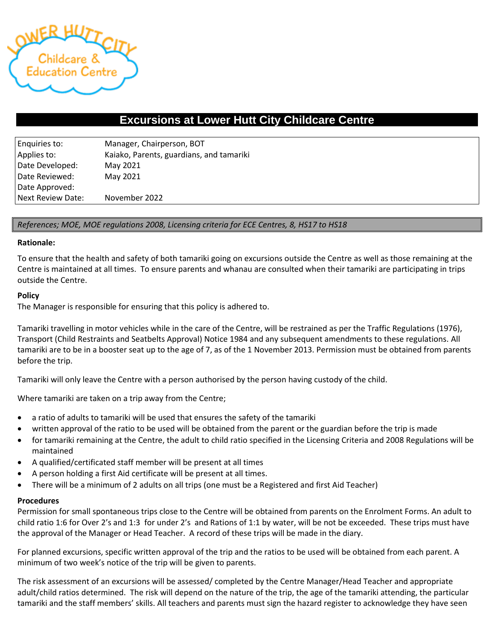

# **Excursions at Lower Hutt City Childcare Centre**

| Enquiries to:     | Manager, Chairperson, BOT                |  |
|-------------------|------------------------------------------|--|
| Applies to:       | Kaiako, Parents, guardians, and tamariki |  |
| Date Developed:   | May 2021                                 |  |
| Date Reviewed:    | May 2021                                 |  |
| Date Approved:    |                                          |  |
| Next Review Date: | November 2022                            |  |

# *References; MOE, MOE regulations 2008, Licensing criteria for ECE Centres, 8, HS17 to HS18*

#### **Rationale:**

To ensure that the health and safety of both tamariki going on excursions outside the Centre as well as those remaining at the Centre is maintained at all times. To ensure parents and whanau are consulted when their tamariki are participating in trips outside the Centre.

#### **Policy**

The Manager is responsible for ensuring that this policy is adhered to.

Tamariki travelling in motor vehicles while in the care of the Centre, will be restrained as per the Traffic Regulations (1976), Transport (Child Restraints and Seatbelts Approval) Notice 1984 and any subsequent amendments to these regulations. All tamariki are to be in a booster seat up to the age of 7, as of the 1 November 2013. Permission must be obtained from parents before the trip.

Tamariki will only leave the Centre with a person authorised by the person having custody of the child.

Where tamariki are taken on a trip away from the Centre;

- a ratio of adults to tamariki will be used that ensures the safety of the tamariki
- written approval of the ratio to be used will be obtained from the parent or the guardian before the trip is made
- for tamariki remaining at the Centre, the adult to child ratio specified in the Licensing Criteria and 2008 Regulations will be maintained
- A qualified/certificated staff member will be present at all times
- A person holding a first Aid certificate will be present at all times.
- There will be a minimum of 2 adults on all trips (one must be a Registered and first Aid Teacher)

#### **Procedures**

Permission for small spontaneous trips close to the Centre will be obtained from parents on the Enrolment Forms. An adult to child ratio 1:6 for Over 2's and 1:3 for under 2's and Rations of 1:1 by water, will be not be exceeded. These trips must have the approval of the Manager or Head Teacher. A record of these trips will be made in the diary.

For planned excursions, specific written approval of the trip and the ratios to be used will be obtained from each parent. A minimum of two week's notice of the trip will be given to parents.

The risk assessment of an excursions will be assessed/ completed by the Centre Manager/Head Teacher and appropriate adult/child ratios determined. The risk will depend on the nature of the trip, the age of the tamariki attending, the particular tamariki and the staff members' skills. All teachers and parents must sign the hazard register to acknowledge they have seen